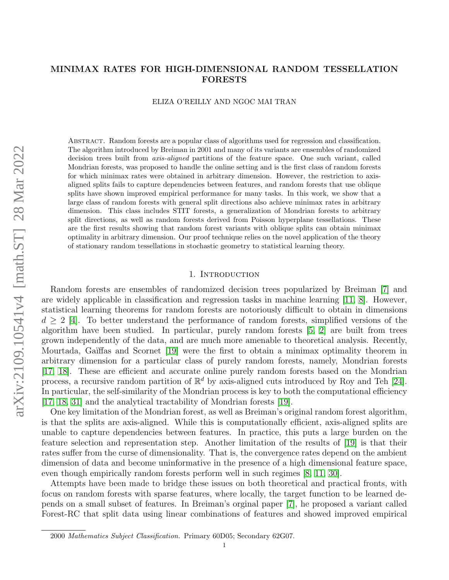# arXiv:2109.10541v4 [math.ST] 28 Mar 2022 arXiv:2109.10541v4 [math.ST] 28 Mar 2022

# <span id="page-0-0"></span>MINIMAX RATES FOR HIGH-DIMENSIONAL RANDOM TESSELLATION FORESTS

ELIZA O'REILLY AND NGOC MAI TRAN

Abstract. Random forests are a popular class of algorithms used for regression and classification. The algorithm introduced by Breiman in 2001 and many of its variants are ensembles of randomized decision trees built from *axis-aligned* partitions of the feature space. One such variant, called Mondrian forests, was proposed to handle the online setting and is the first class of random forests for which minimax rates were obtained in arbitrary dimension. However, the restriction to axisaligned splits fails to capture dependencies between features, and random forests that use oblique splits have shown improved empirical performance for many tasks. In this work, we show that a large class of random forests with general split directions also achieve minimax rates in arbitrary dimension. This class includes STIT forests, a generalization of Mondrian forests to arbitrary split directions, as well as random forests derived from Poisson hyperplane tessellations. These are the first results showing that random forest variants with oblique splits can obtain minimax optimality in arbitrary dimension. Our proof technique relies on the novel application of the theory of stationary random tessellations in stochastic geometry to statistical learning theory.

# 1. INTRODUCTION

Random forests are ensembles of randomized decision trees popularized by Breiman [\[7\]](#page-18-0) and are widely applicable in classification and regression tasks in machine learning [\[11,](#page-18-1) [8\]](#page-18-2). However, statistical learning theorems for random forests are notoriously difficult to obtain in dimensions  $d > 2$  [\[4\]](#page-18-3). To better understand the performance of random forests, simplified versions of the algorithm have been studied. In particular, purely random forests [\[5,](#page-18-4) [2\]](#page-18-5) are built from trees grown independently of the data, and are much more amenable to theoretical analysis. Recently, Mourtada, Gaïffas and Scornet [\[19\]](#page-19-0) were the first to obtain a minimax optimality theorem in arbitrary dimension for a particular class of purely random forests, namely, Mondrian forests [\[17,](#page-19-1) [18\]](#page-19-2). These are efficient and accurate online purely random forests based on the Mondrian process, a recursive random partition of  $\mathbb{R}^d$  by axis-aligned cuts introduced by Roy and Teh [\[24\]](#page-19-3). In particular, the self-similarity of the Mondrian process is key to both the computational efficiency [\[17,](#page-19-1) [18,](#page-19-2) [31\]](#page-19-4) and the analytical tractability of Mondrian forests [\[19\]](#page-19-0).

One key limitation of the Mondrian forest, as well as Breiman's original random forest algorithm, is that the splits are axis-aligned. While this is computationally efficient, axis-aligned splits are unable to capture dependencies between features. In practice, this puts a large burden on the feature selection and representation step. Another limitation of the results of [\[19\]](#page-19-0) is that their rates suffer from the curse of dimensionality. That is, the convergence rates depend on the ambient dimension of data and become uninformative in the presence of a high dimensional feature space, even though empirically random forests perform well in such regimes [\[8,](#page-18-2) [11,](#page-18-1) [30\]](#page-19-5).

Attempts have been made to bridge these issues on both theoretical and practical fronts, with focus on random forests with sparse features, where locally, the target function to be learned depends on a small subset of features. In Breiman's orginal paper [\[7\]](#page-18-0), he proposed a variant called Forest-RC that split data using linear combinations of features and showed improved empirical

<sup>2000</sup> Mathematics Subject Classification. Primary 60D05; Secondary 62G07.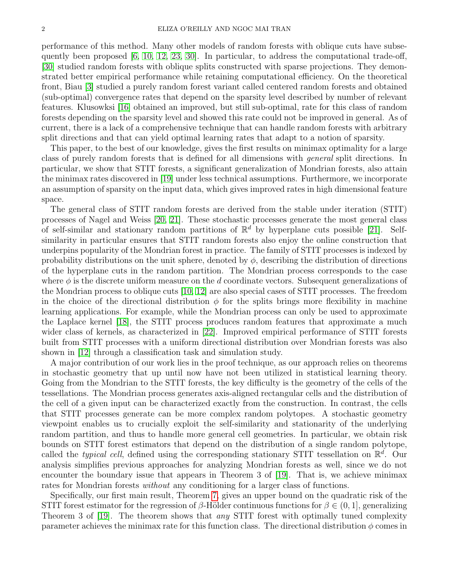performance of this method. Many other models of random forests with oblique cuts have subsequently been proposed [\[6,](#page-18-6) [10,](#page-18-7) [12,](#page-18-8) [23,](#page-19-6) [30\]](#page-19-5). In particular, to address the computational trade-off, [\[30\]](#page-19-5) studied random forests with oblique splits constructed with sparse projections. They demonstrated better empirical performance while retaining computational efficiency. On the theoretical front, Biau [\[3\]](#page-18-9) studied a purely random forest variant called centered random forests and obtained (sub-optimal) convergence rates that depend on the sparsity level described by number of relevant features. Klusowksi [\[16\]](#page-18-10) obtained an improved, but still sub-optimal, rate for this class of random forests depending on the sparsity level and showed this rate could not be improved in general. As of current, there is a lack of a comprehensive technique that can handle random forests with arbitrary split directions and that can yield optimal learning rates that adapt to a notion of sparsity.

This paper, to the best of our knowledge, gives the first results on minimax optimality for a large class of purely random forests that is defined for all dimensions with general split directions. In particular, we show that STIT forests, a significant generalization of Mondrian forests, also attain the minimax rates discovered in [\[19\]](#page-19-0) under less technical assumptions. Furthermore, we incorporate an assumption of sparsity on the input data, which gives improved rates in high dimensional feature space.

The general class of STIT random forests are derived from the stable under iteration (STIT) processes of Nagel and Weiss [\[20,](#page-19-7) [21\]](#page-19-8). These stochastic processes generate the most general class of self-similar and stationary random partitions of  $\mathbb{R}^d$  by hyperplane cuts possible [\[21\]](#page-19-8). Selfsimilarity in particular ensures that STIT random forests also enjoy the online construction that underpins popularity of the Mondrian forest in practice. The family of STIT processes is indexed by probability distributions on the unit sphere, denoted by  $\phi$ , describing the distribution of directions of the hyperplane cuts in the random partition. The Mondrian process corresponds to the case where  $\phi$  is the discrete uniform measure on the d coordinate vectors. Subsequent generalizations of the Mondrian process to oblique cuts [\[10,](#page-18-7) [12\]](#page-18-8) are also special cases of STIT processes. The freedom in the choice of the directional distribution  $\phi$  for the splits brings more flexibility in machine learning applications. For example, while the Mondrian process can only be used to approximate the Laplace kernel [\[18\]](#page-19-2), the STIT process produces random features that approximate a much wider class of kernels, as characterized in [\[22\]](#page-19-9). Improved empirical performance of STIT forests built from STIT processes with a uniform directional distribution over Mondrian forests was also shown in [\[12\]](#page-18-8) through a classification task and simulation study.

A major contribution of our work lies in the proof technique, as our approach relies on theorems in stochastic geometry that up until now have not been utilized in statistical learning theory. Going from the Mondrian to the STIT forests, the key difficulty is the geometry of the cells of the tessellations. The Mondrian process generates axis-aligned rectangular cells and the distribution of the cell of a given input can be characterized exactly from the construction. In contrast, the cells that STIT processes generate can be more complex random polytopes. A stochastic geometry viewpoint enables us to crucially exploit the self-similarity and stationarity of the underlying random partition, and thus to handle more general cell geometries. In particular, we obtain risk bounds on STIT forest estimators that depend on the distribution of a single random polytope, called the *typical cell*, defined using the corresponding stationary STIT tessellation on  $\mathbb{R}^d$ . Our analysis simplifies previous approaches for analyzing Mondrian forests as well, since we do not encounter the boundary issue that appears in Theorem 3 of [\[19\]](#page-19-0). That is, we achieve minimax rates for Mondrian forests *without* any conditioning for a larger class of functions.

Specifically, our first main result, Theorem [7,](#page-10-0) gives an upper bound on the quadratic risk of the STIT forest estimator for the regression of  $\beta$ -Hölder continuous functions for  $\beta \in (0,1]$ , generalizing Theorem 3 of [\[19\]](#page-19-0). The theorem shows that any STIT forest with optimally tuned complexity parameter achieves the minimax rate for this function class. The directional distribution  $\phi$  comes in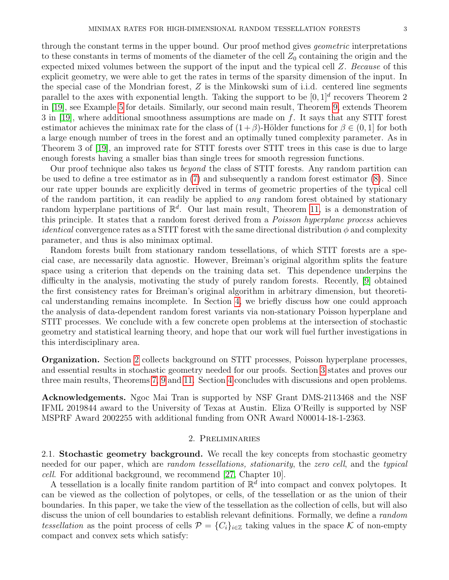through the constant terms in the upper bound. Our proof method gives *geometric* interpretations to these constants in terms of moments of the diameter of the cell  $Z_0$  containing the origin and the expected mixed volumes between the support of the input and the typical cell Z. Because of this explicit geometry, we were able to get the rates in terms of the sparsity dimension of the input. In the special case of the Mondrian forest, Z is the Minkowski sum of i.i.d. centered line segments parallel to the axes with exponential length. Taking the support to be  $[0,1]^d$  recovers Theorem 2 in [\[19\]](#page-19-0), see Example [5](#page-0-0) for details. Similarly, our second main result, Theorem [9,](#page-10-1) extends Theorem 3 in [\[19\]](#page-19-0), where additional smoothness assumptions are made on f. It says that any STIT forest estimator achieves the minimax rate for the class of  $(1+\beta)$ -Hölder functions for  $\beta \in (0,1]$  for both a large enough number of trees in the forest and an optimally tuned complexity parameter. As in Theorem 3 of [\[19\]](#page-19-0), an improved rate for STIT forests over STIT trees in this case is due to large enough forests having a smaller bias than single trees for smooth regression functions.

Our proof technique also takes us beyond the class of STIT forests. Any random partition can be used to define a tree estimator as in [\(7\)](#page-9-0) and subsequently a random forest estimator [\(8\)](#page-10-2). Since our rate upper bounds are explicitly derived in terms of geometric properties of the typical cell of the random partition, it can readily be applied to *any* random forest obtained by stationary random hyperplane partitions of  $\mathbb{R}^d$ . Our last main result, Theorem [11,](#page-11-0) is a demonstration of this principle. It states that a random forest derived from a *Poisson hyperplane process* achieves *identical* convergence rates as a STIT forest with the same directional distribution  $\phi$  and complexity parameter, and thus is also minimax optimal.

Random forests built from stationary random tessellations, of which STIT forests are a special case, are necessarily data agnostic. However, Breiman's original algorithm splits the feature space using a criterion that depends on the training data set. This dependence underpins the difficulty in the analysis, motivating the study of purely random forests. Recently, [\[9\]](#page-18-11) obtained the first consistency rates for Breiman's original algorithm in arbitrary dimension, but theoretical understanding remains incomplete. In Section [4,](#page-17-0) we briefly discuss how one could approach the analysis of data-dependent random forest variants via non-stationary Poisson hyperplane and STIT processes. We conclude with a few concrete open problems at the intersection of stochastic geometry and statistical learning theory, and hope that our work will fuel further investigations in this interdisciplinary area.

Organization. Section [2](#page-2-0) collects background on STIT processes, Poisson hyperplane processes, and essential results in stochastic geometry needed for our proofs. Section [3](#page-9-1) states and proves our three main results, Theorems [7,](#page-10-0) [9](#page-10-1) and [11.](#page-11-0) Section [4](#page-17-0) concludes with discussions and open problems.

Acknowledgements. Ngoc Mai Tran is supported by NSF Grant DMS-2113468 and the NSF IFML 2019844 award to the University of Texas at Austin. Eliza O'Reilly is supported by NSF MSPRF Award 2002255 with additional funding from ONR Award N00014-18-1-2363.

## 2. Preliminaries

<span id="page-2-0"></span>2.1. Stochastic geometry background. We recall the key concepts from stochastic geometry needed for our paper, which are *random tessellations, stationarity*, the zero cell, and the typical cell. For additional background, we recommend [\[27,](#page-19-10) Chapter 10].

A tessellation is a locally finite random partition of  $\mathbb{R}^{\tilde{d}}$  into compact and convex polytopes. It can be viewed as the collection of polytopes, or cells, of the tessellation or as the union of their boundaries. In this paper, we take the view of the tessellation as the collection of cells, but will also discuss the union of cell boundaries to establish relevant definitions. Formally, we define a *random* tessellation as the point process of cells  $\mathcal{P} = \{C_i\}_{i\in\mathbb{Z}}$  taking values in the space K of non-empty compact and convex sets which satisfy: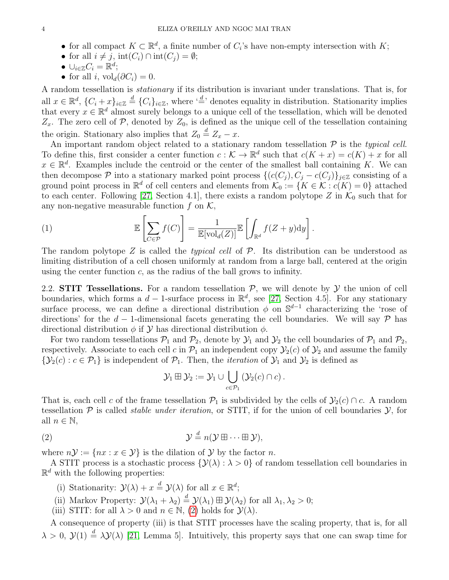- for all compact  $K \subset \mathbb{R}^d$ , a finite number of  $C_i$ 's have non-empty intersection with  $K$ ;
- for all  $i \neq j$ ,  $\text{int}(C_i) \cap \text{int}(C_j) = \emptyset$ ;
- $\cup_{i\in\mathbb{Z}} C_i = \mathbb{R}^d;$
- for all i,  $\mathrm{vol}_d(\partial C_i) = 0$ .

A random tessellation is stationary if its distribution is invariant under translations. That is, for all  $x \in \mathbb{R}^d$ ,  $\{C_i + x\}_{i \in \mathbb{Z}} \stackrel{d}{=} \{C_i\}_{i \in \mathbb{Z}}$ , where  $\stackrel{d}{=}$  denotes equality in distribution. Stationarity implies that every  $x \in \mathbb{R}^d$  almost surely belongs to a unique cell of the tessellation, which will be denoted  $Z_x$ . The zero cell of P, denoted by  $Z_0$ , is defined as the unique cell of the tessellation containing the origin. Stationary also implies that  $Z_0 \stackrel{d}{=} Z_x - x$ .

An important random object related to a stationary random tessellation  $P$  is the typical cell. To define this, first consider a center function  $c : \mathcal{K} \to \mathbb{R}^d$  such that  $c(K + x) = c(K) + x$  for all  $x \in \mathbb{R}^d$ . Examples include the centroid or the center of the smallest ball containing K. We can then decompose P into a stationary marked point process  $\{(c(C_i), C_j - c(C_i)\}_{i\in\mathbb{Z}}\}$  consisting of a ground point process in  $\mathbb{R}^d$  of cell centers and elements from  $\mathcal{K}_0 := \{K \in \mathcal{K} : c(K) = 0\}$  attached to each center. Following [\[27,](#page-19-10) Section 4.1], there exists a random polytope Z in  $\mathcal{K}_0$  such that for any non-negative measurable function  $f$  on  $\mathcal{K}$ ,

<span id="page-3-1"></span>(1) 
$$
\mathbb{E}\left[\sum_{C \in \mathcal{P}} f(C)\right] = \frac{1}{\mathbb{E}[\text{vol}_d(Z)]} \mathbb{E}\left[\int_{\mathbb{R}^d} f(Z+y) dy\right].
$$

The random polytope  $Z$  is called the *typical cell* of  $P$ . Its distribution can be understood as limiting distribution of a cell chosen uniformly at random from a large ball, centered at the origin using the center function  $c$ , as the radius of the ball grows to infinity.

2.2. STIT Tessellations. For a random tessellation  $P$ , we will denote by  $Y$  the union of cell boundaries, which forms a  $d-1$ -surface process in  $\mathbb{R}^d$ , see [\[27,](#page-19-10) Section 4.5]. For any stationary surface process, we can define a directional distribution  $\phi$  on  $\mathbb{S}^{d-1}$  characterizing the 'rose of directions' for the d – 1-dimensional facets generating the cell boundaries. We will say  $\mathcal P$  has directional distribution  $\phi$  if  $\mathcal Y$  has directional distribution  $\phi$ .

For two random tessellations  $\mathcal{P}_1$  and  $\mathcal{P}_2$ , denote by  $\mathcal{Y}_1$  and  $\mathcal{Y}_2$  the cell boundaries of  $\mathcal{P}_1$  and  $\mathcal{P}_2$ , respectively. Associate to each cell c in  $\mathcal{P}_1$  an independent copy  $\mathcal{Y}_2(c)$  of  $\mathcal{Y}_2$  and assume the family  ${\mathcal{Y}}_2(c) : c \in {\mathcal{P}}_1$  is independent of  ${\mathcal{P}}_1$ . Then, the *iteration* of  ${\mathcal{Y}}_1$  and  ${\mathcal{Y}}_2$  is defined as

$$
\mathcal{Y}_1\boxplus \mathcal{Y}_2:=\mathcal{Y}_1\cup \bigcup_{c\in \mathcal{P}_1}\left(\mathcal{Y}_2(c)\cap c\right).
$$

That is, each cell c of the frame tessellation  $\mathcal{P}_1$  is subdivided by the cells of  $\mathcal{Y}_2(c) \cap c$ . A random tessellation  $P$  is called *stable under iteration*, or STIT, if for the union of cell boundaries  $Y$ , for all  $n \in \mathbb{N}$ ,

<span id="page-3-0"></span>(2) 
$$
\mathcal{Y} \stackrel{d}{=} n(\mathcal{Y} \boxplus \cdots \boxplus \mathcal{Y}),
$$

where  $n\mathcal{Y} := \{nx : x \in \mathcal{Y}\}\$ is the dilation of  $\mathcal{Y}$  by the factor n.

A STIT process is a stochastic process  $\{\mathcal{Y}(\lambda): \lambda > 0\}$  of random tessellation cell boundaries in  $\mathbb{R}^d$  with the following properties:

(i) Stationarity:  $\mathcal{Y}(\lambda) + x \stackrel{d}{=} \mathcal{Y}(\lambda)$  for all  $x \in \mathbb{R}^d$ ;

- (ii) Markov Property:  $\mathcal{Y}(\lambda_1 + \lambda_2) \stackrel{d}{=} \mathcal{Y}(\lambda_1) \boxplus \mathcal{Y}(\lambda_2)$  for all  $\lambda_1, \lambda_2 > 0$ ;
- (iii) STIT: for all  $\lambda > 0$  and  $n \in \mathbb{N}$ , [\(2\)](#page-3-0) holds for  $\mathcal{Y}(\lambda)$ .

A consequence of property (iii) is that STIT processes have the scaling property, that is, for all  $\lambda > 0$ ,  $\mathcal{Y}(1) \stackrel{d}{=} \lambda \mathcal{Y}(\lambda)$  [\[21,](#page-19-8) Lemma 5]. Intuitively, this property says that one can swap time for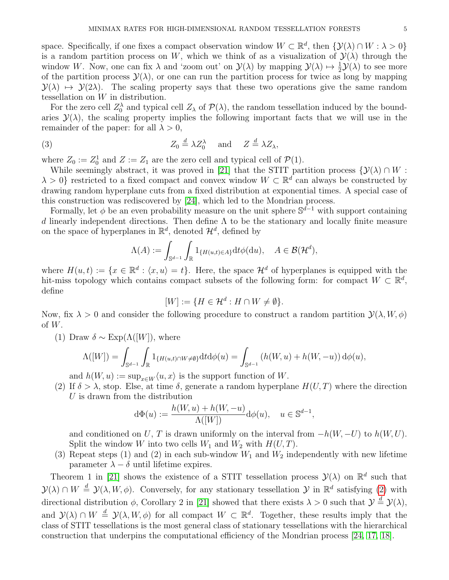space. Specifically, if one fixes a compact observation window  $W \subset \mathbb{R}^d$ , then  $\{ \mathcal{Y}(\lambda) \cap W : \lambda > 0 \}$ is a random partition process on W, which we think of as a visualization of  $\mathcal{Y}(\lambda)$  through the window W. Now, one can fix  $\lambda$  and 'zoom out' on  $\mathcal{Y}(\lambda)$  by mapping  $\mathcal{Y}(\lambda) \mapsto \frac{1}{2}\mathcal{Y}(\lambda)$  to see more of the partition process  $\mathcal{Y}(\lambda)$ , or one can run the partition process for twice as long by mapping  $\mathcal{Y}(\lambda) \mapsto \mathcal{Y}(2\lambda)$ . The scaling property says that these two operations give the same random tessellation on W in distribution.

For the zero cell  $Z_0^{\lambda}$  and typical cell  $Z_{\lambda}$  of  $\mathcal{P}(\lambda)$ , the random tessellation induced by the boundaries  $\mathcal{Y}(\lambda)$ , the scaling property implies the following important facts that we will use in the remainder of the paper: for all  $\lambda > 0$ ,

<span id="page-4-0"></span>(3) 
$$
Z_0 \stackrel{d}{=} \lambda Z_0^{\lambda} \quad \text{and} \quad Z \stackrel{d}{=} \lambda Z_{\lambda},
$$

where  $Z_0 := Z_0^1$  and  $Z := Z_1$  are the zero cell and typical cell of  $\mathcal{P}(1)$ .

While seemingly abstract, it was proved in [\[21\]](#page-19-8) that the STIT partition process  $\{\mathcal{Y}(\lambda) \cap W :$  $\lambda > 0$ } restricted to a fixed compact and convex window  $W \subset \mathbb{R}^d$  can always be constructed by drawing random hyperplane cuts from a fixed distribution at exponential times. A special case of this construction was rediscovered by [\[24\]](#page-19-3), which led to the Mondrian process.

Formally, let  $\phi$  be an even probability measure on the unit sphere  $\mathbb{S}^{d-1}$  with support containing d linearly independent directions. Then define  $\Lambda$  to be the stationary and locally finite measure on the space of hyperplanes in  $\mathbb{R}^d$ , denoted  $\mathcal{H}^d$ , defined by

$$
\Lambda(A) := \int_{\mathbb{S}^{d-1}} \int_{\mathbb{R}} \mathbf{1}_{\{H(u,t)\in A\}} \mathrm{d}t \phi(\mathrm{d}u), \quad A \in \mathcal{B}(\mathcal{H}^d),
$$

where  $H(u,t) := \{x \in \mathbb{R}^d : \langle x, u \rangle = t\}.$  Here, the space  $\mathcal{H}^d$  of hyperplanes is equipped with the hit-miss topology which contains compact subsets of the following form: for compact  $W \subset \mathbb{R}^d$ , define

$$
[W] := \{ H \in \mathcal{H}^d : H \cap W \neq \emptyset \}.
$$

Now, fix  $\lambda > 0$  and consider the following procedure to construct a random partition  $\mathcal{Y}(\lambda, W, \phi)$ of  $W$ .

(1) Draw  $\delta \sim \text{Exp}(\Lambda([W]),$  where

$$
\Lambda([W]) = \int_{\mathbb{S}^{d-1}} \int_{\mathbb{R}} 1_{\{H(u,t) \cap W \neq \emptyset\}} \mathrm{d}t \mathrm{d}\phi(u) = \int_{\mathbb{S}^{d-1}} \left( h(W, u) + h(W, -u) \right) \mathrm{d}\phi(u),
$$

and  $h(W, u) := \sup_{x \in W} \langle u, x \rangle$  is the support function of W.

(2) If  $\delta > \lambda$ , stop. Else, at time  $\delta$ , generate a random hyperplane  $H(U, T)$  where the direction U is drawn from the distribution

$$
d\Phi(u) := \frac{h(W, u) + h(W, -u)}{\Lambda([W])} d\phi(u), \quad u \in \mathbb{S}^{d-1},
$$

and conditioned on U, T is drawn uniformly on the interval from  $-h(W, -U)$  to  $h(W, U)$ . Split the window W into two cells  $W_1$  and  $W_2$  with  $H(U, T)$ .

(3) Repeat steps (1) and (2) in each sub-window  $W_1$  and  $W_2$  independently with new lifetime parameter  $\lambda - \delta$  until lifetime expires.

Theorem 1 in [\[21\]](#page-19-8) shows the existence of a STIT tessellation process  $\mathcal{Y}(\lambda)$  on  $\mathbb{R}^d$  such that  $\mathcal{Y}(\lambda) \cap W \stackrel{d}{=} \mathcal{Y}(\lambda, W, \phi)$ . Conversely, for any stationary tessellation  $\mathcal{Y}$  in  $\mathbb{R}^d$  satisfying [\(2\)](#page-3-0) with directional distribution  $\phi$ , Corollary 2 in [\[21\]](#page-19-8) showed that there exists  $\lambda > 0$  such that  $\mathcal{Y} \stackrel{d}{=} \mathcal{Y}(\lambda)$ , and  $\mathcal{Y}(\lambda) \cap W \stackrel{d}{=} \mathcal{Y}(\lambda, W, \phi)$  for all compact  $W \subset \mathbb{R}^d$ . Together, these results imply that the class of STIT tessellations is the most general class of stationary tessellations with the hierarchical construction that underpins the computational efficiency of the Mondrian process [\[24,](#page-19-3) [17,](#page-19-1) [18\]](#page-19-2).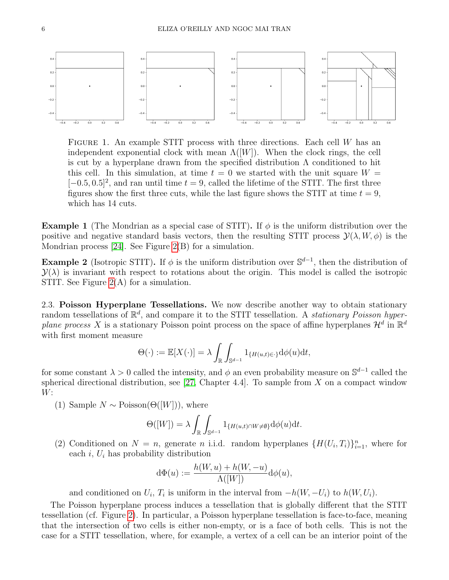

FIGURE 1. An example STIT process with three directions. Each cell  $W$  has an independent exponential clock with mean  $\Lambda([W])$ . When the clock rings, the cell is cut by a hyperplane drawn from the specified distribution  $\Lambda$  conditioned to hit this cell. In this simulation, at time  $t = 0$  we started with the unit square  $W =$  $[-0.5, 0.5]^2$ , and ran until time  $t = 9$ , called the lifetime of the STIT. The first three figures show the first three cuts, while the last figure shows the STIT at time  $t = 9$ , which has 14 cuts.

<span id="page-5-0"></span>**Example 1** (The Mondrian as a special case of STIT). If  $\phi$  is the uniform distribution over the positive and negative standard basis vectors, then the resulting STIT process  $\mathcal{Y}(\lambda, W, \phi)$  is the Mondrian process [\[24\]](#page-19-3). See Figure [2\(](#page-6-0)B) for a simulation.

<span id="page-5-1"></span>**Example 2** (Isotropic STIT). If  $\phi$  is the uniform distribution over  $\mathbb{S}^{d-1}$ , then the distribution of  $\mathcal{Y}(\lambda)$  is invariant with respect to rotations about the origin. This model is called the isotropic STIT. See Figure [2\(](#page-6-0)A) for a simulation.

2.3. Poisson Hyperplane Tessellations. We now describe another way to obtain stationary random tessellations of  $\mathbb{R}^d$ , and compare it to the STIT tessellation. A *stationary Poisson hyper*plane process X is a stationary Poisson point process on the space of affine hyperplanes  $\mathcal{H}^d$  in  $\mathbb{R}^d$ with first moment measure

$$
\Theta(\cdot) := \mathbb{E}[X(\cdot)] = \lambda \int_{\mathbb{R}} \int_{\mathbb{S}^{d-1}} 1_{\{H(u,t)\in \cdot\}} \mathrm{d}\phi(u) \mathrm{d}t,
$$

for some constant  $\lambda > 0$  called the intensity, and  $\phi$  an even probability measure on  $\mathbb{S}^{d-1}$  called the spherical directional distribution, see [\[27,](#page-19-10) Chapter 4.4]. To sample from  $X$  on a compact window  $W:$ 

(1) Sample  $N \sim \text{Poisson}(\Theta([W]))$ , where

$$
\Theta([W]) = \lambda \int_{\mathbb{R}} \int_{\mathbb{S}^{d-1}} 1_{\{H(u,t) \cap W \neq \emptyset\}} d\phi(u) dt.
$$

(2) Conditioned on  $N = n$ , generate n i.i.d. random hyperplanes  $\{H(U_i, T_i)\}_{i=1}^n$ , where for each  $i, U_i$  has probability distribution

$$
d\Phi(u) := \frac{h(W, u) + h(W, -u)}{\Lambda([W])} d\phi(u),
$$

and conditioned on  $U_i$ ,  $T_i$  is uniform in the interval from  $-h(W, -U_i)$  to  $h(W, U_i)$ .

The Poisson hyperplane process induces a tessellation that is globally different that the STIT tessellation (cf. Figure [2\)](#page-6-0). In particular, a Poisson hyperplane tessellation is face-to-face, meaning that the intersection of two cells is either non-empty, or is a face of both cells. This is not the case for a STIT tessellation, where, for example, a vertex of a cell can be an interior point of the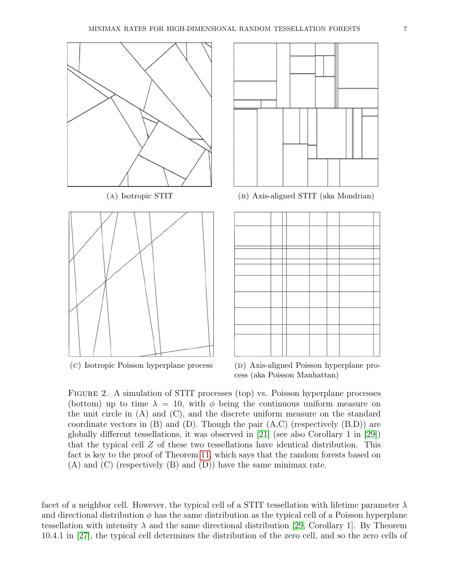<span id="page-6-0"></span>



(A) Isotropic STIT (aka Mondrian)



(c) Isotropic Poisson hyperplane process (D) Axis-aligned Poisson hyperplane process (aka Poisson Manhattan)

Figure 2. A simulation of STIT processes (top) vs. Poisson hyperplane processes (bottom) up to time  $\lambda = 10$ , with  $\phi$  being the continuous uniform measure on the unit circle in (A) and (C), and the discrete uniform measure on the standard coordinate vectors in  $(B)$  and  $(D)$ . Though the pair  $(A, C)$  (respectively  $(B, D)$ ) are globally different tessellations, it was observed in [\[21\]](#page-19-8) (see also Corollary 1 in [\[29\]](#page-19-11)) that the typical cell Z of these two tessellations have identical distribution. This fact is key to the proof of Theorem [11,](#page-11-0) which says that the random forests based on (A) and (C) (respectively (B) and (D)) have the same minimax rate.

facet of a neighbor cell. However, the typical cell of a STIT tessellation with lifetime parameter  $\lambda$ and directional distribution  $\phi$  has the same distribution as the typical cell of a Poisson hyperplane tessellation with intensity  $\lambda$  and the same directional distribution [\[29,](#page-19-11) Corollary 1]. By Theorem 10.4.1 in [\[27\]](#page-19-10), the typical cell determines the distribution of the zero cell, and so the zero cells of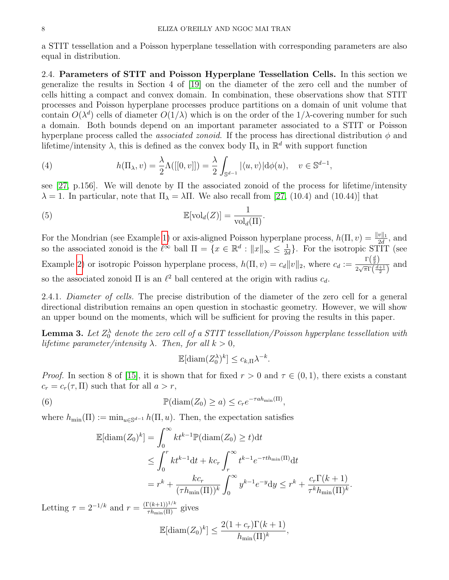a STIT tessellation and a Poisson hyperplane tessellation with corresponding parameters are also equal in distribution.

2.4. Parameters of STIT and Poisson Hyperplane Tessellation Cells. In this section we generalize the results in Section 4 of [\[19\]](#page-19-0) on the diameter of the zero cell and the number of cells hitting a compact and convex domain. In combination, these observations show that STIT processes and Poisson hyperplane processes produce partitions on a domain of unit volume that contain  $O(\lambda^d)$  cells of diameter  $O(1/\lambda)$  which is on the order of the  $1/\lambda$ -covering number for such a domain. Both bounds depend on an important parameter associated to a STIT or Poisson hyperplane process called the *associated zonoid*. If the process has directional distribution  $\phi$  and lifetime/intensity  $\lambda$ , this is defined as the convex body  $\Pi_{\lambda}$  in  $\mathbb{R}^{d}$  with support function

<span id="page-7-0"></span>(4) 
$$
h(\Pi_{\lambda}, v) = \frac{\lambda}{2} \Lambda([[0, v]]) = \frac{\lambda}{2} \int_{\mathbb{S}^{d-1}} |\langle u, v \rangle| d\phi(u), \quad v \in \mathbb{S}^{d-1},
$$

see [\[27,](#page-19-10) p.156]. We will denote by  $\Pi$  the associated zonoid of the process for lifetime/intensity  $\lambda = 1$ . In particular, note that  $\Pi_{\lambda} = \lambda \Pi$ . We also recall from [\[27,](#page-19-10) (10.4) and (10.44)] that

<span id="page-7-2"></span>(5) 
$$
\mathbb{E}[\text{vol}_d(Z)] = \frac{1}{\text{vol}_d(\Pi)}.
$$

For the Mondrian (see Example [1\)](#page-5-0) or axis-aligned Poisson hyperplane process,  $h(\Pi, v) = \frac{\|v\|_1}{2d}$ , and so the associated zonoid is the  $\ell^{\infty}$  ball  $\Pi = \{x \in \mathbb{R}^d : ||x||_{\infty} \leq \frac{1}{2\ell}$  $\frac{1}{2d}$ . For the isotropic STIT (see Example [2\)](#page-5-1) or isotropic Poisson hyperplane process,  $h(\Pi, v) = c_d ||v||_2$ , where  $c_d := \frac{\Gamma(\frac{d}{2})}{2\sqrt{\pi}\Gamma(\frac{d}{2})}$  $\frac{1}{2\sqrt{\pi}\Gamma(\frac{d+1}{2})}$  and so the associated zonoid  $\Pi$  is an  $\ell^2$  ball centered at the origin with radius  $c_d$ .

2.4.1. Diameter of cells. The precise distribution of the diameter of the zero cell for a general directional distribution remains an open question in stochastic geometry. However, we will show an upper bound on the moments, which will be sufficient for proving the results in this paper.

<span id="page-7-3"></span>**Lemma 3.** Let  $Z_0^{\lambda}$  denote the zero cell of a STIT tessellation/Poisson hyperplane tessellation with lifetime parameter/intensity  $\lambda$ . Then, for all  $k > 0$ ,

$$
\mathbb{E}[\text{diam}(Z_0^{\lambda})^k] \le c_{k,\Pi} \lambda^{-k}.
$$

*Proof.* In section 8 of [\[15\]](#page-18-12), it is shown that for fixed  $r > 0$  and  $\tau \in (0, 1)$ , there exists a constant  $c_r = c_r(\tau, \Pi)$  such that for all  $a > r$ ,

<span id="page-7-1"></span>(6) 
$$
\mathbb{P}(\text{diam}(Z_0) \geq a) \leq c_r e^{-\tau a h_{\min}(\Pi)},
$$

where  $h_{\min}(\Pi) := \min_{u \in \mathbb{S}^{d-1}} h(\Pi, u)$ . Then, the expectation satisfies

$$
\mathbb{E}[\text{diam}(Z_0)^k] = \int_0^\infty kt^{k-1} \mathbb{P}(\text{diam}(Z_0) \ge t) dt
$$
  
\n
$$
\le \int_0^r kt^{k-1} dt + kc_r \int_r^\infty t^{k-1} e^{-\tau t h_{\min}(\Pi)} dt
$$
  
\n
$$
= r^k + \frac{kc_r}{(\tau h_{\min}(\Pi))^k} \int_0^\infty y^{k-1} e^{-y} dy \le r^k + \frac{c_r \Gamma(k+1)}{\tau^k h_{\min}(\Pi)^k}
$$

.

Letting  $\tau = 2^{-1/k}$  and  $r = \frac{\Gamma(k+1)^{1/k}}{\tau h_{\min}(\Pi)}$  gives

$$
\mathbb{E}[\text{diam}(Z_0)^k] \le \frac{2(1+c_r)\Gamma(k+1)}{h_{\min}(\Pi)^k},
$$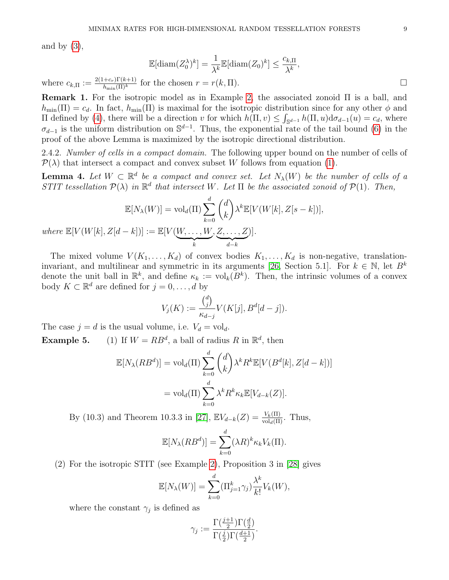and by  $(3)$ ,

$$
\mathbb{E}[\text{diam}(Z_0^{\lambda})^k] = \frac{1}{\lambda^k} \mathbb{E}[\text{diam}(Z_0)^k] \le \frac{c_{k,\Pi}}{\lambda^k},
$$

where  $c_{k,\Pi} := \frac{2(1+c_r)\Gamma(k+1)}{h_{\min}(\Pi)^k}$  for the chosen  $r = r(k, \Pi)$ .

Remark 1. For the isotropic model as in Example [2,](#page-5-1) the associated zonoid Π is a ball, and  $h_{\min}(\Pi) = c_d$ . In fact,  $h_{\min}(\Pi)$  is maximal for the isotropic distribution since for any other  $\phi$  and  $\Pi$  defined by [\(4\)](#page-7-0), there will be a direction v for which  $h(Π, v) ≤ ∫<sub>§<sup>d-1</sup></sub> h(Π, u)dσ<sub>d-1</sub>(u) = c<sub>d</sub>$ , where  $\sigma_{d-1}$  is the uniform distribution on  $\mathbb{S}^{d-1}$ . Thus, the exponential rate of the tail bound [\(6\)](#page-7-1) in the proof of the above Lemma is maximized by the isotropic directional distribution.

2.4.2. Number of cells in a compact domain. The following upper bound on the number of cells of  $\mathcal{P}(\lambda)$  that intersect a compact and convex subset W follows from equation [\(1\)](#page-3-1).

<span id="page-8-0"></span>**Lemma 4.** Let  $W \subset \mathbb{R}^d$  be a compact and convex set. Let  $N_\lambda(W)$  be the number of cells of a STIT tessellation  $\mathcal{P}(\lambda)$  in  $\mathbb{R}^d$  that intersect W. Let  $\Pi$  be the associated zonoid of  $\mathcal{P}(1)$ . Then,

$$
\mathbb{E}[N_{\lambda}(W)] = \text{vol}_{d}(\Pi) \sum_{k=0}^{d} {d \choose k} \lambda^{k} \mathbb{E}[V(W[k], Z[s-k])],
$$
  
where 
$$
\mathbb{E}[V(W[k], Z[d-k])] := \mathbb{E}[V(\underbrace{W, \dots, W}_{k}, \underbrace{Z, \dots, Z}_{d-k})].
$$

The mixed volume  $V(K_1, \ldots, K_d)$  of convex bodies  $K_1, \ldots, K_d$  is non-negative, translation-invariant, and multilinear and symmetric in its arguments [\[26,](#page-19-12) Section 5.1]. For  $k \in \mathbb{N}$ , let  $B^k$ denote the unit ball in  $\mathbb{R}^k$ , and define  $\kappa_k := \text{vol}_k(B^k)$ . Then, the intrinsic volumes of a convex body  $K \subset \mathbb{R}^d$  are defined for  $j = 0, \ldots, d$  by

$$
V_j(K) := \frac{\binom{d}{j}}{\kappa_{d-j}} V(K[j], B^d[d-j]).
$$

The case  $j = d$  is the usual volume, i.e.  $V_d = \text{vol}_d$ . **Example 5.** (1) If  $W = RB^d$ , a ball of radius R in  $\mathbb{R}^d$ , then

$$
\mathbb{E}[N_{\lambda}(RB^d)] = \text{vol}_d(\Pi) \sum_{k=0}^d {d \choose k} \lambda^k R^k \mathbb{E}[V(B^d[k], Z[d-k])]
$$

$$
= \text{vol}_d(\Pi) \sum_{k=0}^d \lambda^k R^k \kappa_k \mathbb{E}[V_{d-k}(Z)].
$$

By (10.3) and Theorem 10.3.3 in [\[27\]](#page-19-10),  $\mathbb{E}V_{d-k}(Z) = \frac{V_k(\Pi)}{\text{vol}_d(\Pi)}$ . Thus,

$$
\mathbb{E}[N_{\lambda}(RB^d)] = \sum_{k=0}^d (\lambda R)^k \kappa_k V_k(\Pi).
$$

(2) For the isotropic STIT (see Example [2\)](#page-5-1), Proposition 3 in [\[28\]](#page-19-13) gives

$$
\mathbb{E}[N_{\lambda}(W)] = \sum_{k=0}^{d} (\Pi_{j=1}^{k} \gamma_{j}) \frac{\lambda^{k}}{k!} V_{k}(W),
$$

where the constant  $\gamma_j$  is defined as

$$
\gamma_j := \frac{\Gamma(\frac{j+1}{2}) \Gamma(\frac{d}{2})}{\Gamma(\frac{j}{2}) \Gamma(\frac{d+1}{2})}.
$$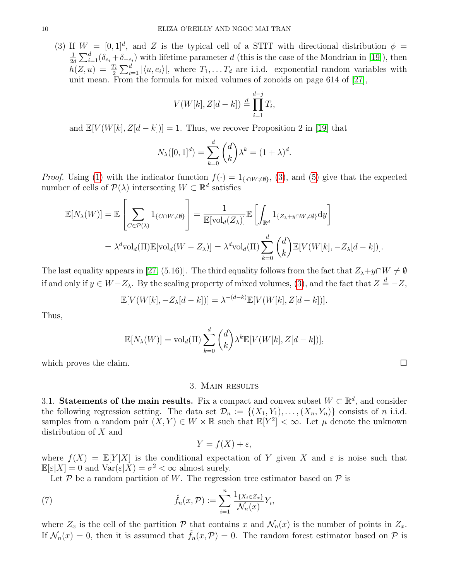(3) If  $W = [0,1]^d$ , and Z is the typical cell of a STIT with directional distribution  $\phi =$ 1  $\frac{1}{2d} \sum_{i=1}^{d} (\delta_{e_i} + \delta_{-e_i})$  with lifetime parameter d (this is the case of the Mondrian in [\[19\]](#page-19-0)), then  $h(Z, u) = \frac{T_i}{2} \sum_{i=1}^d |\langle u, e_i \rangle|$ , where  $T_1, \ldots, T_d$  are i.i.d. exponential random variables with unit mean. From the formula for mixed volumes of zonoids on page 614 of [\[27\]](#page-19-10),

$$
V(W[k], Z[d-k]) \stackrel{d}{=} \prod_{i=1}^{d-j} T_i,
$$

and  $\mathbb{E}[V(W[k], Z[d-k])] = 1$ . Thus, we recover Proposition 2 in [\[19\]](#page-19-0) that

$$
N_{\lambda}([0,1]^d) = \sum_{k=0}^d {d \choose k} \lambda^k = (1+\lambda)^d.
$$

*Proof.* Using [\(1\)](#page-3-1) with the indicator function  $f(\cdot) = 1_{\{\cdot \cap W \neq \emptyset\}}$ , [\(3\)](#page-4-0), and [\(5\)](#page-7-2) give that the expected number of cells of  $\mathcal{P}(\lambda)$  intersecting  $W \subset \mathbb{R}^d$  satisfies

$$
\mathbb{E}[N_{\lambda}(W)] = \mathbb{E}\left[\sum_{C \in \mathcal{P}(\lambda)} 1_{\{C \cap W \neq \emptyset\}}\right] = \frac{1}{\mathbb{E}[\text{vol}_{d}(Z_{\lambda})]} \mathbb{E}\left[\int_{\mathbb{R}^{d}} 1_{\{Z_{\lambda}+y \cap W \neq \emptyset\}} dy\right]
$$

$$
= \lambda^{d} \text{vol}_{d}(\Pi) \mathbb{E}[\text{vol}_{d}(W - Z_{\lambda})] = \lambda^{d} \text{vol}_{d}(\Pi) \sum_{k=0}^{d} {d \choose k} \mathbb{E}[V(W[k], -Z_{\lambda}[d-k])].
$$

The last equality appears in [\[27,](#page-19-10) (5.16)]. The third equality follows from the fact that  $Z_{\lambda}+y\cap W\neq\emptyset$ if and only if  $y \in W - Z_\lambda$ . By the scaling property of mixed volumes, [\(3\)](#page-4-0), and the fact that  $Z \stackrel{d}{=} -Z$ ,

$$
\mathbb{E}[V(W[k], -Z_{\lambda}[d-k])] = \lambda^{-(d-k)} \mathbb{E}[V(W[k], Z[d-k])].
$$

Thus,

$$
\mathbb{E}[N_{\lambda}(W)] = \text{vol}_{d}(\Pi) \sum_{k=0}^{d} {d \choose k} \lambda^{k} \mathbb{E}[V(W[k], Z[d-k])],
$$

which proves the claim.  $\Box$ 

# 3. Main results

<span id="page-9-1"></span>3.1. Statements of the main results. Fix a compact and convex subset  $W \subset \mathbb{R}^d$ , and consider the following regression setting. The data set  $\mathcal{D}_n := \{(X_1, Y_1), \ldots, (X_n, Y_n)\}\)$  consists of n i.i.d. samples from a random pair  $(X, Y) \in W \times \mathbb{R}$  such that  $\mathbb{E}[Y^2] < \infty$ . Let  $\mu$  denote the unknown distribution of X and

$$
Y = f(X) + \varepsilon,
$$

where  $f(X) = \mathbb{E}[Y|X]$  is the conditional expectation of Y given X and  $\varepsilon$  is noise such that  $\mathbb{E}[\varepsilon|X] = 0$  and  $\text{Var}(\varepsilon|X) = \sigma^2 < \infty$  almost surely.

Let  $P$  be a random partition of W. The regression tree estimator based on  $P$  is

<span id="page-9-0"></span>(7) 
$$
\hat{f}_n(x,\mathcal{P}) := \sum_{i=1}^n \frac{\mathbb{1}_{\{X_i \in Z_x\}}}{\mathcal{N}_n(x)} Y_i,
$$

where  $Z_x$  is the cell of the partition P that contains x and  $\mathcal{N}_n(x)$  is the number of points in  $Z_x$ . If  $\mathcal{N}_n(x) = 0$ , then it is assumed that  $f_n(x, \mathcal{P}) = 0$ . The random forest estimator based on  $\mathcal P$  is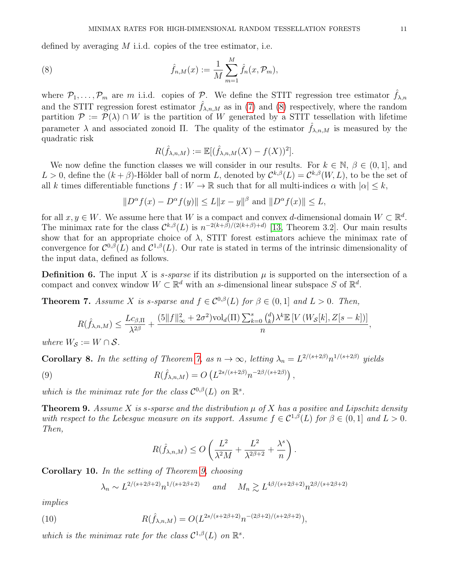defined by averaging  $M$  i.i.d. copies of the tree estimator, i.e.

<span id="page-10-2"></span>(8) 
$$
\hat{f}_{n,M}(x) := \frac{1}{M} \sum_{m=1}^{M} \hat{f}_n(x, \mathcal{P}_m),
$$

where  $P_1, \ldots, P_m$  are m i.i.d. copies of P. We define the STIT regression tree estimator  $\hat{f}_{\lambda,n}$ and the STIT regression forest estimator  $\hat{f}_{\lambda,n,M}$  as in [\(7\)](#page-9-0) and [\(8\)](#page-10-2) respectively, where the random partition  $\mathcal{P} := \mathcal{P}(\lambda) \cap W$  is the partition of W generated by a STIT tessellation with lifetime parameter  $\lambda$  and associated zonoid Π. The quality of the estimator  $\hat{f}_{\lambda,n,M}$  is measured by the quadratic risk

$$
R(\hat{f}_{\lambda,n,M}) := \mathbb{E}[(\hat{f}_{\lambda,n,M}(X) - f(X))^2].
$$

We now define the function classes we will consider in our results. For  $k \in \mathbb{N}$ ,  $\beta \in (0, 1]$ , and  $L > 0$ , define the  $(k + \beta)$ -Hölder ball of norm L, denoted by  $\mathcal{C}^{k,\beta}(L) = \mathcal{C}^{k,\beta}(W,L)$ , to be the set of all k times differentiable functions  $f: W \to \mathbb{R}$  such that for all multi-indices  $\alpha$  with  $|\alpha| \leq k$ ,

$$
||D^{\alpha} f(x) - D^{\alpha} f(y)|| \le L||x - y||^{\beta}
$$
 and  $||D^{\alpha} f(x)|| \le L$ ,

for all  $x, y \in W$ . We assume here that W is a compact and convex d-dimensional domain  $W \subset \mathbb{R}^d$ . The minimax rate for the class  $\mathcal{C}^{k,\beta}(L)$  is  $n^{-2(k+\beta)/(2(k+\beta)+d)}$  [\[13,](#page-18-13) Theorem 3.2]. Our main results show that for an appropriate choice of  $\lambda$ , STIT forest estimators achieve the minimax rate of convergence for  $\mathcal{C}^{0,\beta}(L)$  and  $\mathcal{C}^{1,\beta}(L)$ . Our rate is stated in terms of the intrinsic dimensionality of the input data, defined as follows.

**Definition 6.** The input X is *s-sparse* if its distribution  $\mu$  is supported on the intersection of a compact and convex window  $W \subset \mathbb{R}^d$  with an s-dimensional linear subspace S of  $\mathbb{R}^d$ .

<span id="page-10-0"></span>**Theorem 7.** Assume X is s-sparse and  $f \in C^{0,\beta}(L)$  for  $\beta \in (0,1]$  and  $L > 0$ . Then,

$$
R(\hat{f}_{\lambda,n,M}) \le \frac{Lc_{\beta,\Pi}}{\lambda^{2\beta}} + \frac{(5\|f\|_{\infty}^2 + 2\sigma^2)\mathrm{vol}_d(\Pi)\sum_{k=0}^s {d\choose k} \lambda^k \mathbb{E}\left[V\left(W_{\mathcal{S}}[k],Z[s-k]\right)\right]}{n},
$$

where  $W_{\mathcal{S}} := W \cap \mathcal{S}$ .

<span id="page-10-3"></span>**Corollary 8.** In the setting of Theorem [7,](#page-10-0) as  $n \to \infty$ , letting  $\lambda_n = L^{2/(s+2\beta)} n^{1/(s+2\beta)}$  yields

<span id="page-10-5"></span>(9) 
$$
R(\hat{f}_{\lambda,n,M}) = O\left(L^{2s/(s+2\beta)}n^{-2\beta/(s+2\beta)}\right),
$$

which is the minimax rate for the class  $\mathcal{C}^{0,\beta}(L)$  on  $\mathbb{R}^s$ .

<span id="page-10-1"></span>**Theorem 9.** Assume X is s-sparse and the distribution  $\mu$  of X has a positive and Lipschitz density with respect to the Lebesgue measure on its support. Assume  $f \in C^{1,\beta}(L)$  for  $\beta \in (0,1]$  and  $L > 0$ . Then,

$$
R(\hat{f}_{\lambda,n,M}) \le O\left(\frac{L^2}{\lambda^2 M} + \frac{L^2}{\lambda^{2\beta+2}} + \frac{\lambda^s}{n}\right).
$$

<span id="page-10-4"></span>Corollary 10. In the setting of Theorem [9,](#page-10-1) choosing

$$
\lambda_n \sim L^{2/(s+2\beta+2)} n^{1/(s+2\beta+2)} \quad \text{and} \quad M_n \gtrsim L^{4\beta/(s+2\beta+2)} n^{2\beta/(s+2\beta+2)}
$$

implies

<span id="page-10-6"></span>(10) 
$$
R(\hat{f}_{\lambda,n,M}) = O(L^{2s/(s+2\beta+2)}n^{-(2\beta+2)/(s+2\beta+2)}),
$$

which is the minimax rate for the class  $\mathcal{C}^{1,\beta}(L)$  on  $\mathbb{R}^s$ .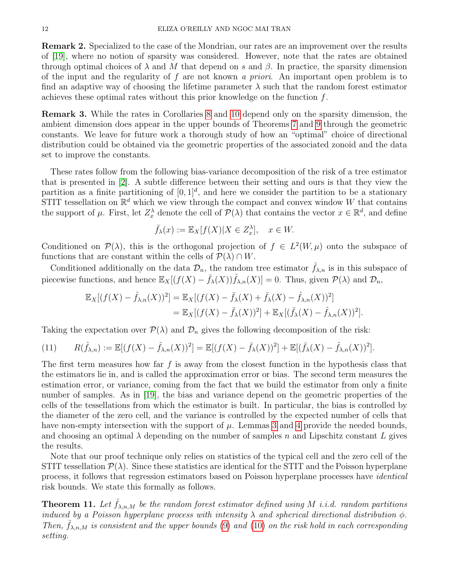<span id="page-11-2"></span>Remark 2. Specialized to the case of the Mondrian, our rates are an improvement over the results of [\[19\]](#page-19-0), where no notion of sparsity was considered. However, note that the rates are obtained through optimal choices of  $\lambda$  and M that depend on s and  $\beta$ . In practice, the sparsity dimension of the input and the regularity of f are not known a priori. An important open problem is to find an adaptive way of choosing the lifetime parameter  $\lambda$  such that the random forest estimator achieves these optimal rates without this prior knowledge on the function f.

Remark 3. While the rates in Corollaries [8](#page-10-3) and [10](#page-10-4) depend only on the sparsity dimension, the ambient dimension does appear in the upper bounds of Theorems [7](#page-10-0) and [9](#page-10-1) through the geometric constants. We leave for future work a thorough study of how an "optimal" choice of directional distribution could be obtained via the geometric properties of the associated zonoid and the data set to improve the constants.

These rates follow from the following bias-variance decomposition of the risk of a tree estimator that is presented in [\[2\]](#page-18-5). A subtle difference between their setting and ours is that they view the partition as a finite partitioning of  $[0, 1]^d$ , and here we consider the partition to be a stationary STIT tessellation on  $\mathbb{R}^d$  which we view through the compact and convex window W that contains the support of  $\mu$ . First, let  $Z_x^{\lambda}$  denote the cell of  $\mathcal{P}(\lambda)$  that contains the vector  $x \in \mathbb{R}^d$ , and define

$$
\bar{f}_{\lambda}(x) := \mathbb{E}_{X}[f(X)|X \in Z_{x}^{\lambda}], \quad x \in W.
$$

Conditioned on  $\mathcal{P}(\lambda)$ , this is the orthogonal projection of  $f \in L^2(W,\mu)$  onto the subspace of functions that are constant within the cells of  $\mathcal{P}(\lambda) \cap W$ .

Conditionally on the data  $\mathcal{D}_n$ , the random tree estimator  $\hat{f}_{\lambda,n}$  is in this subspace of piecewise functions, and hence  $\mathbb{E}_X[(f(X) - \bar{f}_\lambda(X))\hat{f}_{\lambda,n}(X)] = 0$ . Thus, given  $\mathcal{P}(\lambda)$  and  $\mathcal{D}_n$ ,

$$
\mathbb{E}_X[(f(X) - \hat{f}_{\lambda,n}(X))^2] = \mathbb{E}_X[(f(X) - \bar{f}_{\lambda}(X) + \bar{f}_{\lambda}(X) - \hat{f}_{\lambda,n}(X))^2] \n= \mathbb{E}_X[(f(X) - \bar{f}_{\lambda}(X))^2] + \mathbb{E}_X[(\bar{f}_{\lambda}(X) - \hat{f}_{\lambda,n}(X))^2].
$$

Taking the expectation over  $\mathcal{P}(\lambda)$  and  $\mathcal{D}_n$  gives the following decomposition of the risk:

<span id="page-11-1"></span>(11) 
$$
R(\hat{f}_{\lambda,n}) := \mathbb{E}[(f(X) - \hat{f}_{\lambda,n}(X))^2] = \mathbb{E}[(f(X) - \bar{f}_{\lambda}(X))^2] + \mathbb{E}[(\bar{f}_{\lambda}(X) - \hat{f}_{\lambda,n}(X))^2].
$$

The first term measures how far  $f$  is away from the closest function in the hypothesis class that the estimators lie in, and is called the approximation error or bias. The second term measures the estimation error, or variance, coming from the fact that we build the estimator from only a finite number of samples. As in [\[19\]](#page-19-0), the bias and variance depend on the geometric properties of the cells of the tessellations from which the estimator is built. In particular, the bias is controlled by the diameter of the zero cell, and the variance is controlled by the expected number of cells that have non-empty intersection with the support of  $\mu$ . Lemmas [3](#page-7-3) and [4](#page-8-0) provide the needed bounds, and choosing an optimal  $\lambda$  depending on the number of samples n and Lipschitz constant L gives the results.

Note that our proof technique only relies on statistics of the typical cell and the zero cell of the STIT tessellation  $\mathcal{P}(\lambda)$ . Since these statistics are identical for the STIT and the Poisson hyperplane process, it follows that regression estimators based on Poisson hyperplane processes have identical risk bounds. We state this formally as follows.

<span id="page-11-0"></span>**Theorem 11.** Let  $f_{\lambda,n,M}$  be the random forest estimator defined using M i.i.d. random partitions induced by a Poisson hyperplane process with intensity  $\lambda$  and spherical directional distribution  $\phi$ . Then,  $\hat{f}_{\lambda,n,M}$  is consistent and the upper bounds [\(9\)](#page-10-5) and [\(10\)](#page-10-6) on the risk hold in each corresponding setting.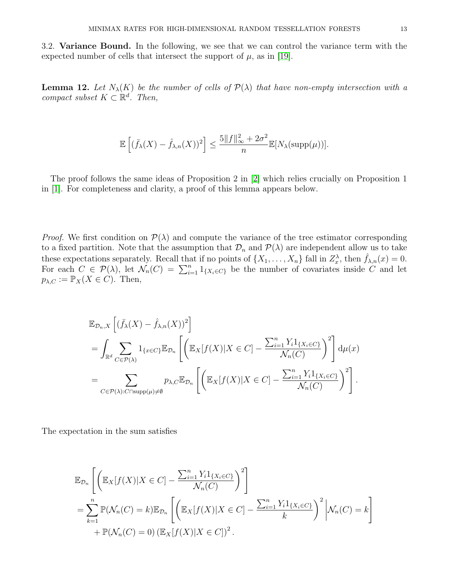3.2. Variance Bound. In the following, we see that we can control the variance term with the expected number of cells that intersect the support of  $\mu$ , as in [\[19\]](#page-19-0).

<span id="page-12-0"></span>**Lemma 12.** Let  $N_{\lambda}(K)$  be the number of cells of  $\mathcal{P}(\lambda)$  that have non-empty intersection with a compact subset  $K \subset \mathbb{R}^d$ . Then,

$$
\mathbb{E}\left[ (\bar{f}_{\lambda}(X) - \hat{f}_{\lambda,n}(X))^2 \right] \le \frac{5\|f\|_{\infty}^2 + 2\sigma^2}{n} \mathbb{E}[N_{\lambda}(\mathrm{supp}(\mu))].
$$

The proof follows the same ideas of Proposition 2 in [\[2\]](#page-18-5) which relies crucially on Proposition 1 in [\[1\]](#page-18-14). For completeness and clarity, a proof of this lemma appears below.

*Proof.* We first condition on  $\mathcal{P}(\lambda)$  and compute the variance of the tree estimator corresponding to a fixed partition. Note that the assumption that  $\mathcal{D}_n$  and  $\mathcal{P}(\lambda)$  are independent allow us to take these expectations separately. Recall that if no points of  $\{X_1, \ldots, X_n\}$  fall in  $Z_x^{\lambda}$ , then  $\hat{f}_{\lambda,n}(x) = 0$ . For each  $C \in \mathcal{P}(\lambda)$ , let  $\mathcal{N}_n(C) = \sum_{i=1}^n 1_{\{X_i \in C\}}$  be the number of covariates inside C and let  $p_{\lambda,C} := \mathbb{P}_X(X \in C)$ . Then,

$$
\mathbb{E}_{\mathcal{D}_n,X}\left[ (\bar{f}_{\lambda}(X) - \hat{f}_{\lambda,n}(X))^2 \right]
$$
\n
$$
= \int_{\mathbb{R}^d} \sum_{C \in \mathcal{P}(\lambda)} 1_{\{x \in C\}} \mathbb{E}_{\mathcal{D}_n} \left[ \left( \mathbb{E}_X[f(X)|X \in C] - \frac{\sum_{i=1}^n Y_i 1_{\{X_i \in C\}}}{\mathcal{N}_n(C)} \right)^2 \right] d\mu(x)
$$
\n
$$
= \sum_{C \in \mathcal{P}(\lambda): C \cap \text{supp}(\mu) \neq \emptyset} p_{\lambda,C} \mathbb{E}_{\mathcal{D}_n} \left[ \left( \mathbb{E}_X[f(X)|X \in C] - \frac{\sum_{i=1}^n Y_i 1_{\{X_i \in C\}}}{\mathcal{N}_n(C)} \right)^2 \right].
$$

The expectation in the sum satisfies

$$
\mathbb{E}_{\mathcal{D}_n}\left[\left(\mathbb{E}_X[f(X)|X \in C] - \frac{\sum_{i=1}^n Y_i 1_{\{X_i \in C\}}}{\mathcal{N}_n(C)}\right)^2\right]
$$
\n
$$
= \sum_{k=1}^n \mathbb{P}(\mathcal{N}_n(C) = k) \mathbb{E}_{\mathcal{D}_n}\left[\left(\mathbb{E}_X[f(X)|X \in C] - \frac{\sum_{i=1}^n Y_i 1_{\{X_i \in C\}}}{k}\right)^2 \middle| \mathcal{N}_n(C) = k\right]
$$
\n
$$
+ \mathbb{P}(\mathcal{N}_n(C) = 0) \left(\mathbb{E}_X[f(X)|X \in C]\right)^2.
$$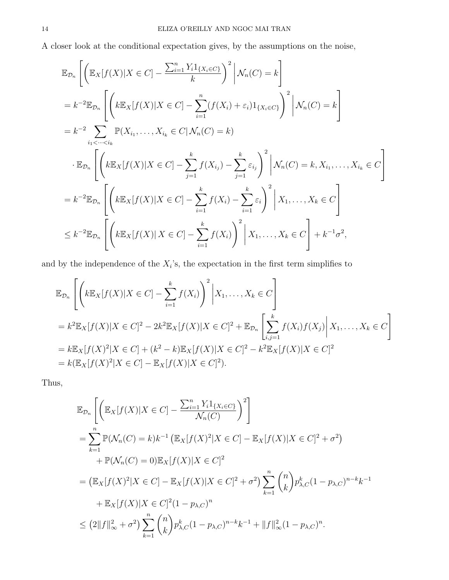A closer look at the conditional expectation gives, by the assumptions on the noise,

$$
\mathbb{E}_{\mathcal{D}_n} \left[ \left( \mathbb{E}_X[f(X)|X \in C] - \frac{\sum_{i=1}^n Y_i 1_{\{X_i \in C\}}}{k} \right)^2 \middle| \mathcal{N}_n(C) = k \right] \n= k^{-2} \mathbb{E}_{\mathcal{D}_n} \left[ \left( k \mathbb{E}_X[f(X)|X \in C] - \sum_{i=1}^n (f(X_i) + \varepsilon_i) 1_{\{X_i \in C\}} \right)^2 \middle| \mathcal{N}_n(C) = k \right] \n= k^{-2} \sum_{i_1 < \dots < i_k} \mathbb{P}(X_{i_1}, \dots, X_{i_k} \in C | \mathcal{N}_n(C) = k) \n\cdot \mathbb{E}_{\mathcal{D}_n} \left[ \left( k \mathbb{E}_X[f(X)|X \in C] - \sum_{j=1}^k f(X_{i_j}) - \sum_{j=1}^k \varepsilon_{i_j} \right)^2 \middle| \mathcal{N}_n(C) = k, X_{i_1}, \dots, X_{i_k} \in C \right] \n= k^{-2} \mathbb{E}_{\mathcal{D}_n} \left[ \left( k \mathbb{E}_X[f(X)|X \in C] - \sum_{i=1}^k f(X_i) - \sum_{i=1}^k \varepsilon_i \right)^2 \middle| X_1, \dots, X_k \in C \right] \n\leq k^{-2} \mathbb{E}_{\mathcal{D}_n} \left[ \left( k \mathbb{E}_X[f(X)|X \in C] - \sum_{i=1}^k f(X_i) \right)^2 \middle| X_1, \dots, X_k \in C \right] + k^{-1} \sigma^2,
$$

and by the independence of the  $X_i$ 's, the expectation in the first term simplifies to

$$
\mathbb{E}_{\mathcal{D}_n} \left[ \left( k \mathbb{E}_X[f(X)|X \in C] - \sum_{i=1}^k f(X_i) \right)^2 \middle| X_1, \dots, X_k \in C \right]
$$
  
=  $k^2 \mathbb{E}_X[f(X)|X \in C]^2 - 2k^2 \mathbb{E}_X[f(X)|X \in C]^2 + \mathbb{E}_{\mathcal{D}_n} \left[ \sum_{i,j=1}^k f(X_i)f(X_j) \middle| X_1, \dots, X_k \in C \right]$   
=  $k \mathbb{E}_X[f(X)^2|X \in C] + (k^2 - k)\mathbb{E}_X[f(X)|X \in C]^2 - k^2 \mathbb{E}_X[f(X)|X \in C]^2$   
=  $k(\mathbb{E}_X[f(X)^2|X \in C] - \mathbb{E}_X[f(X)|X \in C]^2).$ 

Thus,

$$
\mathbb{E}_{\mathcal{D}_n} \left[ \left( \mathbb{E}_X[f(X)|X \in C] - \frac{\sum_{i=1}^n Y_i 1_{\{X_i \in C\}}}{\mathcal{N}_n(C)} \right)^2 \right]
$$
\n
$$
= \sum_{k=1}^n \mathbb{P}(\mathcal{N}_n(C) = k) k^{-1} \left( \mathbb{E}_X[f(X)^2 | X \in C] - \mathbb{E}_X[f(X) | X \in C]^2 + \sigma^2 \right)
$$
\n
$$
+ \mathbb{P}(\mathcal{N}_n(C) = 0) \mathbb{E}_X[f(X) | X \in C]^2
$$
\n
$$
= \left( \mathbb{E}_X[f(X)^2 | X \in C] - \mathbb{E}_X[f(X) | X \in C]^2 + \sigma^2 \right) \sum_{k=1}^n {n \choose k} p_{\lambda, C}^k (1 - p_{\lambda, C})^{n-k} k^{-1}
$$
\n
$$
+ \mathbb{E}_X[f(X) | X \in C]^2 (1 - p_{\lambda, C})^n
$$
\n
$$
\leq (2||f||_{\infty}^2 + \sigma^2) \sum_{k=1}^n {n \choose k} p_{\lambda, C}^k (1 - p_{\lambda, C})^{n-k} k^{-1} + ||f||_{\infty}^2 (1 - p_{\lambda, C})^n.
$$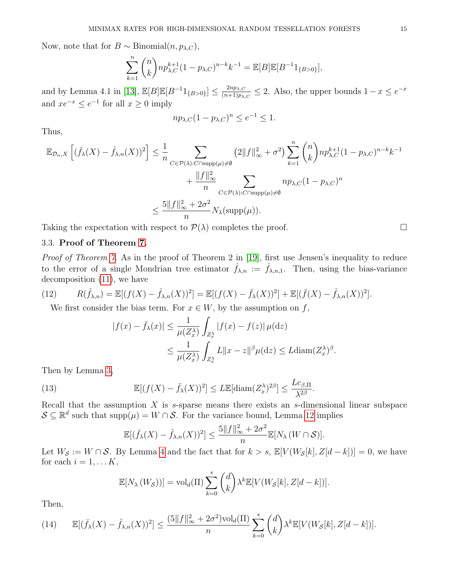Now, note that for  $B \sim \text{Binomial}(n, p_{\lambda, C}),$ 

$$
\sum_{k=1}^{n} {n \choose k} n p_{\lambda,C}^{k+1} (1 - p_{\lambda,C})^{n-k} k^{-1} = \mathbb{E}[B] \mathbb{E}[B^{-1}1_{\{B>0\}}],
$$

and by Lemma 4.1 in [\[13\]](#page-18-13),  $\mathbb{E}[B]\mathbb{E}[B^{-1}1_{\{B>0\}}] \leq \frac{2np_{\lambda,C}}{(n+1)n_{\lambda}}$  $\frac{2np_{\lambda,C}}{(n+1)p_{\lambda,C}} \leq 2$ . Also, the upper bounds  $1-x \leq e^{-x}$ and  $xe^{-x} \le e^{-1}$  for all  $x \ge 0$  imply

$$
np_{\lambda,C}(1-p_{\lambda,C})^n \le e^{-1} \le 1.
$$

Thus,

$$
\mathbb{E}_{\mathcal{D}_n,X}\left[ (\bar{f}_{\lambda}(X) - \hat{f}_{\lambda,n}(X))^2 \right] \leq \frac{1}{n} \sum_{C \in \mathcal{P}(\lambda): C \cap \text{supp}(\mu) \neq \emptyset} \left( 2\|f\|_{\infty}^2 + \sigma^2 \right) \sum_{k=1}^n {n \choose k} np_{\lambda,C}^{k+1} (1 - p_{\lambda,C})^{n-k} k^{-1}
$$

$$
+ \frac{\|f\|_{\infty}^2}{n} \sum_{C \in \mathcal{P}(\lambda): C \cap \text{supp}(\mu) \neq \emptyset} np_{\lambda,C} (1 - p_{\lambda,C})^n
$$

$$
\leq \frac{5\|f\|_{\infty}^2 + 2\sigma^2}{n} N_{\lambda} (\text{supp}(\mu)).
$$

Taking the expectation with respect to  $\mathcal{P}(\lambda)$  completes the proof.

# 3.3. Proof of Theorem [7.](#page-10-0)

Proof of Theorem [7.](#page-10-0) As in the proof of Theorem 2 in [\[19\]](#page-19-0), first use Jensen's inequality to reduce to the error of a single Mondrian tree estimator  $\hat{f}_{\lambda,n} := \hat{f}_{\lambda,n,1}$ . Then, using the bias-variance decomposition [\(11\)](#page-11-1), we have

(12) 
$$
R(\hat{f}_{\lambda,n}) = \mathbb{E}[(f(X) - \hat{f}_{\lambda,n}(X))^2] = \mathbb{E}[(f(X) - \bar{f}_{\lambda}(X))^2] + \mathbb{E}[(\bar{f}(X) - \hat{f}_{\lambda,n}(X))^2].
$$

We first consider the bias term. For  $x \in W$ , by the assumption on f,

$$
|f(x) - \bar{f}_{\lambda}(x)| \le \frac{1}{\mu(Z_{x}^{\lambda})} \int_{Z_{x}^{\lambda}} |f(x) - f(z)| \mu(\mathrm{d}z)
$$
  

$$
\le \frac{1}{\mu(Z_{x}^{\lambda})} \int_{Z_{x}^{\lambda}} L \|x - z\|^{\beta} \mu(\mathrm{d}z) \le L \mathrm{diam}(Z_{x}^{\lambda})^{\beta}.
$$

Then by Lemma [3,](#page-7-3)

<span id="page-14-0"></span>(13) 
$$
\mathbb{E}[(f(X) - \bar{f}_{\lambda}(X))^2] \leq L \mathbb{E}[\text{diam}(Z_{\alpha}^{\lambda})^{2\beta}] \leq \frac{Lc_{\beta,\Pi}}{\lambda^{2\beta}}.
$$

Recall that the assumption  $X$  is  $s$ -sparse means there exists an  $s$ -dimensional linear subspace  $S \subseteq \mathbb{R}^d$  such that supp $(\mu) = W \cap S$ . For the variance bound, Lemma [12](#page-12-0) implies

$$
\mathbb{E}[(\bar{f}_{\lambda}(X) - \hat{f}_{\lambda,n}(X))^2] \le \frac{5||f||_{\infty}^2 + 2\sigma^2}{n} \mathbb{E}[N_{\lambda}(W \cap \mathcal{S})].
$$

Let  $W_{\mathcal{S}} := W \cap \mathcal{S}$ . By Lemma [4](#page-8-0) and the fact that for  $k > s$ ,  $\mathbb{E}[V(W_{\mathcal{S}}[k], Z[d-k])] = 0$ , we have for each  $i = 1, \ldots K$ ,

$$
\mathbb{E}[N_{\lambda}(W_{\mathcal{S}}))] = \text{vol}_{d}(\Pi) \sum_{k=0}^{s} {d \choose k} \lambda^{k} \mathbb{E}[V(W_{\mathcal{S}}[k], Z[d-k])].
$$

Then,

<span id="page-14-1"></span>(14) 
$$
\mathbb{E}[(\bar{f}_{\lambda}(X) - \hat{f}_{\lambda,n}(X))^2] \leq \frac{(5||f||_{\infty}^2 + 2\sigma^2)\mathrm{vol}_d(\Pi)}{n} \sum_{k=0}^s \binom{d}{k} \lambda^k \mathbb{E}[V(W_{\mathcal{S}}[k], Z[d-k])].
$$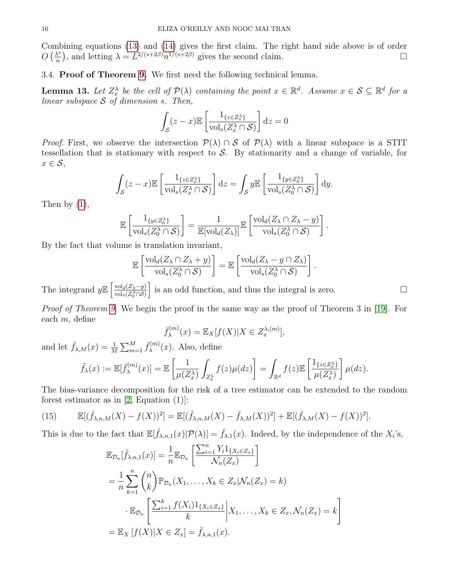Combining equations [\(13\)](#page-14-0) and [\(14\)](#page-14-1) gives the first claim. The right hand side above is of order  $O\left(\frac{\lambda^s}{n}\right)$  $\frac{\lambda^s}{n}$ , and letting  $\lambda = L^{2/(s+2\beta)} n^{1/(s+2\beta)}$  gives the second claim.

3.4. Proof of Theorem [9.](#page-10-1) We first need the following technical lemma.

<span id="page-15-0"></span>**Lemma 13.** Let  $Z_x^{\lambda}$  be the cell of  $\mathcal{P}(\lambda)$  containing the point  $x \in \mathbb{R}^d$ . Assume  $x \in \mathcal{S} \subseteq \mathbb{R}^d$  for a linear subspace  $S$  of dimension s. Then,

$$
\int_{\mathcal{S}} (z - x) \mathbb{E} \left[ \frac{1_{\{z \in Z_x^{\lambda}\}}}{\text{vol}_s(Z_x^{\lambda} \cap \mathcal{S})} \right] dz = 0
$$

*Proof.* First, we observe the intersection  $\mathcal{P}(\lambda) \cap \mathcal{S}$  of  $\mathcal{P}(\lambda)$  with a linear subspace is a STIT tessellation that is stationary with respect to  $S$ . By stationarity and a change of variable, for  $x \in \mathcal{S}$ ,

$$
\int_{\mathcal{S}} (z - x) \mathbb{E} \left[ \frac{1_{\{z \in Z_x^{\lambda}\}}}{\text{vol}_s(Z_x^{\lambda} \cap \mathcal{S})} \right] dz = \int_{\mathcal{S}} y \mathbb{E} \left[ \frac{1_{\{y \in Z_0^{\lambda}\}}}{\text{vol}_s(Z_0^{\lambda} \cap \mathcal{S})} \right] dy.
$$

Then by  $(1)$ ,

$$
\mathbb{E}\left[\frac{1_{\{y\in Z_0^{\lambda}\}}}{\mathrm{vol}_s(Z_0^{\lambda}\cap S)}\right] = \frac{1}{\mathbb{E}[\mathrm{vol}_d(Z_{\lambda})]} \mathbb{E}\left[\frac{\mathrm{vol}_d(Z_{\lambda}\cap Z_{\lambda}-y)}{\mathrm{vol}_s(Z_0^{\lambda}\cap S)}\right].
$$

By the fact that volume is translation invariant,

$$
\mathbb{E}\left[\frac{\mathrm{vol}_d(Z_\lambda \cap Z_\lambda + y)}{\mathrm{vol}_s(Z_0^\lambda \cap \mathcal{S})}\right] = \mathbb{E}\left[\frac{\mathrm{vol}_d(Z_\lambda - y \cap Z_\lambda)}{\mathrm{vol}_s(Z_0^\lambda \cap \mathcal{S})}\right].
$$

The integrand  $y \mathbb{E} \left[ \frac{\text{vol}_d(Z_\lambda - y)}{\text{vol}_d(Z_\lambda) \cap S_\lambda} \right]$  $\overline{\text{vol}_s(Z^\lambda_0\cap \mathcal{S})}$ i is an odd function, and thus the integral is zero.

Proof of Theorem [9.](#page-10-1) We begin the proof in the same way as the proof of Theorem 3 in [\[19\]](#page-19-0). For each m, define

$$
\bar{f}_{\lambda}^{(m)}(x) = \mathbb{E}_{X}[f(X)|X \in Z_{x}^{\lambda,(m)}],
$$

and let  $\bar{f}_{\lambda,M}(x) = \frac{1}{M} \sum_{m=1}^{M} \bar{f}_{\lambda}^{(m)}$  $\lambda^{(m)}(x)$ . Also, define

$$
\tilde{f}_{\lambda}(x) := \mathbb{E}[\bar{f}_{\lambda}^{(m)}(x)] = \mathbb{E}\left[\frac{1}{\mu(Z_x^{\lambda})}\int_{Z_x^{\lambda}}f(z)\mu(dz)\right] = \int_{\mathbb{R}^d}f(z)\mathbb{E}\left[\frac{1_{\{z\in Z_x^{\lambda}\}}}{\mu(Z_x^{\lambda})}\right]\mu(dz).
$$

The bias-variance decomposition for the risk of a tree estimator can be extended to the random forest estimator as in  $[2, Equation (1)]$ :

(15) 
$$
\mathbb{E}[(\hat{f}_{\lambda,n,M}(X) - f(X))^2] = \mathbb{E}[(\hat{f}_{\lambda,n,M}(X) - \bar{f}_{\lambda,M}(X))^2] + \mathbb{E}[(\bar{f}_{\lambda,M}(X) - f(X))^2].
$$

This is due to the fact that  $\mathbb{E}[\hat{f}_{\lambda,n,1}(x)|\mathcal{P}(\lambda)] = \bar{f}_{\lambda,1}(x)$ . Indeed, by the independence of the  $X_i$ 's,

$$
\mathbb{E}_{\mathcal{D}_n}[\hat{f}_{\lambda,n,1}(x)] = \frac{1}{n} \mathbb{E}_{\mathcal{D}_n} \left[ \frac{\sum_{i=1}^n Y_i 1_{\{X_i \in Z_x\}}}{\mathcal{N}_n(Z_x)} \right]
$$
  
\n
$$
= \frac{1}{n} \sum_{k=1}^n {n \choose k} \mathbb{P}_{\mathcal{D}_n}(X_1, \dots, X_k \in Z_x | \mathcal{N}_n(Z_x) = k)
$$
  
\n
$$
\cdot \mathbb{E}_{\mathcal{D}_n} \left[ \frac{\sum_{i=1}^k f(X_i) 1_{\{X_i \in Z_x\}}}{k} \middle| X_1, \dots, X_k \in Z_x, \mathcal{N}_n(Z_x) = k \right]
$$
  
\n
$$
= \mathbb{E}_X [f(X) | X \in Z_x] = \bar{f}_{\lambda,n,1}(x).
$$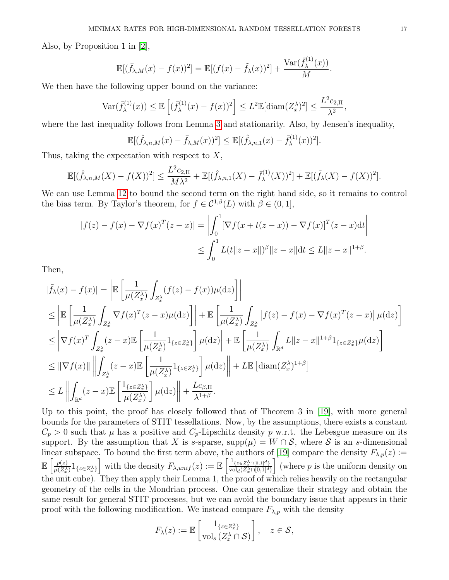Also, by Proposition 1 in [\[2\]](#page-18-5),

$$
\mathbb{E}[(\bar{f}_{\lambda,M}(x)-f(x))^2] = \mathbb{E}[(f(x)-\tilde{f}_{\lambda}(x))^2] + \frac{\text{Var}(\bar{f}_{\lambda}^{(1)}(x))}{M}.
$$

 $(1)$ 

We then have the following upper bound on the variance:

$$
\operatorname{Var}(\bar{f}_{\lambda}^{(1)}(x)) \le \mathbb{E}\left[ (\bar{f}_{\lambda}^{(1)}(x) - f(x))^2 \right] \le L^2 \mathbb{E}[\operatorname{diam}(Z_x^{\lambda})^2] \le \frac{L^2 c_{2,\Pi}}{\lambda^2},
$$

where the last inequality follows from Lemma [3](#page-7-3) and stationarity. Also, by Jensen's inequality,

$$
\mathbb{E}[(\hat{f}_{\lambda,n,M}(x) - \bar{f}_{\lambda,M}(x))^2] \leq \mathbb{E}[(\hat{f}_{\lambda,n,1}(x) - \bar{f}_{\lambda}^{(1)}(x))^2].
$$

Thus, taking the expectation with respect to  $X$ ,

$$
\mathbb{E}[(\hat{f}_{\lambda,n,M}(X) - f(X))^2] \le \frac{L^2 c_{2,\Pi}}{M\lambda^2} + \mathbb{E}[(\hat{f}_{\lambda,n,1}(X) - \bar{f}_{\lambda}^{(1)}(X))^2] + \mathbb{E}[(\tilde{f}_{\lambda}(X) - f(X))^2].
$$

We can use Lemma [12](#page-12-0) to bound the second term on the right hand side, so it remains to control the bias term. By Taylor's theorem, for  $f \in C^{1,\beta}(L)$  with  $\beta \in (0,1]$ ,

$$
|f(z) - f(x) - \nabla f(x)^{T} (z - x)| = \left| \int_{0}^{1} [\nabla f(x + t(z - x)) - \nabla f(x)]^{T} (z - x) dt \right|
$$
  

$$
\leq \int_{0}^{1} L(t \|z - x\|)^{\beta} \|z - x\| dt \leq L \|z - x\|^{1 + \beta}.
$$

Then,

$$
\begin{split}\n|\tilde{f}_{\lambda}(x) - f(x)| &= \left| \mathbb{E} \left[ \frac{1}{\mu(Z_x^{\lambda})} \int_{Z_x^{\lambda}} (f(z) - f(x)) \mu(\mathrm{d}z) \right] \right| \\
&\leq \left| \mathbb{E} \left[ \frac{1}{\mu(Z_x^{\lambda})} \int_{Z_x^{\lambda}} \nabla f(x)^{T} (z - x) \mu(\mathrm{d}z) \right] \right| + \mathbb{E} \left[ \frac{1}{\mu(Z_x^{\lambda})} \int_{Z_x^{\lambda}} |f(z) - f(x) - \nabla f(x)^{T} (z - x)| \mu(\mathrm{d}z) \right] \\
&\leq \left| \nabla f(x)^{T} \int_{Z_x^{\lambda}} (z - x) \mathbb{E} \left[ \frac{1}{\mu(Z_x^{\lambda})} \mathbf{1}_{\{z \in Z_x^{\lambda}\}} \right] \mu(\mathrm{d}z) \right| + \mathbb{E} \left[ \frac{1}{\mu(Z_x^{\lambda})} \int_{\mathbb{R}^d} L ||z - x||^{1+\beta} \mathbf{1}_{\{z \in Z_x^{\lambda}\}} \mu(\mathrm{d}z) \right] \\
&\leq ||\nabla f(x)|| \left\| \int_{Z_x^{\lambda}} (z - x) \mathbb{E} \left[ \frac{1}{\mu(Z_x^{\lambda})} \mathbf{1}_{\{z \in Z_x^{\lambda}\}} \right] \mu(\mathrm{d}z) \right\| + L \mathbb{E} \left[ \operatorname{diam}(Z_x^{\lambda})^{1+\beta} \right] \\
&\leq L \left\| \int_{\mathbb{R}^d} (z - x) \mathbb{E} \left[ \frac{\mathbf{1}_{\{z \in Z_x^{\lambda}\}}}{\mu(Z_x^{\lambda})} \right] \mu(\mathrm{d}z) \right\| + \frac{Lc_{\beta, \Pi}}{\lambda^{1+\beta}}.\n\end{split}
$$

Up to this point, the proof has closely followed that of Theorem 3 in [\[19\]](#page-19-0), with more general bounds for the parameters of STIT tessellations. Now, by the assumptions, there exists a constant  $C_p > 0$  such that  $\mu$  has a positive and  $C_p$ -Lipschitz density p w.r.t. the Lebesgue measure on its support. By the assumption that X is s-sparse, supp $(\mu) = W \cap S$ , where S is an s-dimensional linear subspace. To bound the first term above, the authors of [\[19\]](#page-19-0) compare the density  $F_{\lambda,p}(z) :=$  $\mathbb{E} \left[ \frac{p(z)}{z(z)} \right]$  $\frac{p(z)}{\mu(Z_x^{\lambda})} 1_{\{z \in Z_x^{\lambda}\}}$  with the density  $F_{\lambda, \text{unif}}(z) := \mathbb{E}\left[\frac{1_{\{z \in Z_x^{\lambda} \cap [0,1]^d\}}}{\text{vol}_d(Z_x^{\lambda} \cap [0,1]^d)}\right]$  $\mathrm{vol}_d(Z^\lambda_x \cap [0,1]^d)$ where  $p$  is the uniform density on the unit cube). They then apply their Lemma 1, the proof of which relies heavily on the rectangular geometry of the cells in the Mondrian process. One can generalize their strategy and obtain the same result for general STIT processes, but we can avoid the boundary issue that appears in their proof with the following modification. We instead compare  $F_{\lambda,p}$  with the density

$$
F_{\lambda}(z) := \mathbb{E}\left[\frac{1_{\{z \in Z_x^{\lambda}\}}}{\text{vol}_s\left(Z_x^{\lambda} \cap \mathcal{S}\right)}\right], \quad z \in \mathcal{S},
$$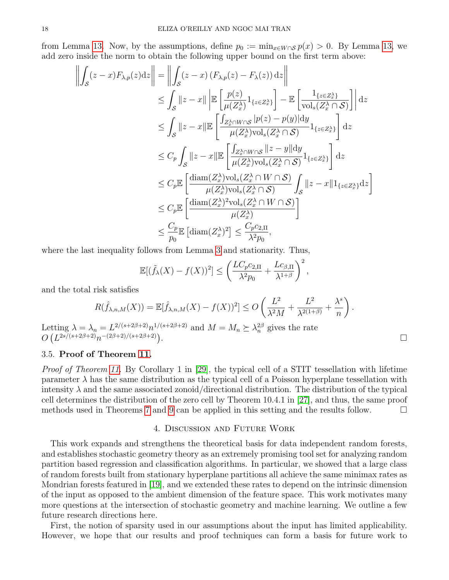from Lemma [13.](#page-15-0) Now, by the assumptions, define  $p_0 := \min_{x \in W \cap S} p(x) > 0$ . By Lemma [13,](#page-15-0) we add zero inside the norm to obtain the following upper bound on the first term above:

$$
\left\| \int_{\mathcal{S}} (z - x) F_{\lambda, p}(z) dz \right\| = \left\| \int_{\mathcal{S}} (z - x) (F_{\lambda, p}(z) - F_{\lambda}(z)) dz \right\|
$$
  
\n
$$
\leq \int_{\mathcal{S}} \|z - x\| \left| \mathbb{E} \left[ \frac{p(z)}{\mu(Z_x^{\lambda})} 1_{\{z \in Z_x^{\lambda}\}} \right] - \mathbb{E} \left[ \frac{1_{\{z \in Z_x^{\lambda}\}}}{\text{vol}_s(Z_x^{\lambda} \cap \mathcal{S})} \right] \right| dz
$$
  
\n
$$
\leq \int_{\mathcal{S}} \|z - x\| \mathbb{E} \left[ \frac{\int_{Z_x^{\lambda} \cap W \cap \mathcal{S}} |p(z) - p(y)| dy}{\mu(Z_x^{\lambda}) \text{vol}_s(Z_x^{\lambda} \cap \mathcal{S})} 1_{\{z \in Z_x^{\lambda}\}} \right] dz
$$
  
\n
$$
\leq C_p \int_{\mathcal{S}} \|z - x\| \mathbb{E} \left[ \frac{\int_{Z_x^{\lambda} \cap W \cap \mathcal{S}} \|z - y\| dy}{\mu(Z_x^{\lambda}) \text{vol}_s(Z_x^{\lambda} \cap \mathcal{S})} 1_{\{z \in Z_x^{\lambda}\}} \right] dz
$$
  
\n
$$
\leq C_p \mathbb{E} \left[ \frac{\text{diam}(Z_x^{\lambda}) \text{vol}_s(Z_x^{\lambda} \cap W \cap \mathcal{S})}{\mu(Z_x^{\lambda}) \text{vol}_s(Z_x^{\lambda} \cap \mathcal{S})} \right]_{\mathcal{S}} \|z - x\| 1_{\{z \in Z_x^{\lambda}\}} dz \right]
$$
  
\n
$$
\leq C_p \mathbb{E} \left[ \frac{\text{diam}(Z_x^{\lambda})^2 \text{vol}_s(Z_x^{\lambda} \cap W \cap \mathcal{S})}{\mu(Z_x^{\lambda})} \right]
$$
  
\n
$$
\leq \frac{C_p}{p_0} \mathbb{E} \left[ \text{diam}(Z_x^{\lambda})^2 \right] \leq \frac{C_p c_{2, \Pi}}{\lambda^2 p_0},
$$

where the last inequality follows from Lemma [3](#page-7-3) and stationarity. Thus,

 $\bar{1}$ 

$$
\mathbb{E}[(\tilde{f}_{\lambda}(X) - f(X))^2] \le \left(\frac{LC_p c_{2,\Pi}}{\lambda^2 p_0} + \frac{L c_{\beta,\Pi}}{\lambda^{1+\beta}}\right)^2,
$$

and the total risk satisfies

$$
R(\hat{f}_{\lambda,n,M}(X)) = \mathbb{E}[\hat{f}_{\lambda,n,M}(X) - f(X))^2] \leq O\left(\frac{L^2}{\lambda^2 M} + \frac{L^2}{\lambda^{2(1+\beta)}} + \frac{\lambda^s}{n}\right).
$$

Letting  $\lambda = \lambda_n = L^{2/(s+2\beta+2)} n^{1/(s+2\beta+2)}$  and  $M = M_n \succeq \lambda_n^{2\beta}$  gives the rate  $O(L^{2s/(s+2\beta+2)}n^{-(2\beta+2)/(s+2\beta+2)})$ .

### 3.5. Proof of Theorem [11.](#page-11-0)

Proof of Theorem [11.](#page-11-0) By Corollary 1 in [\[29\]](#page-19-11), the typical cell of a STIT tessellation with lifetime parameter  $\lambda$  has the same distribution as the typical cell of a Poisson hyperplane tessellation with intensity  $\lambda$  and the same associated zonoid/directional distribution. The distribution of the typical cell determines the distribution of the zero cell by Theorem 10.4.1 in [\[27\]](#page-19-10), and thus, the same proof methods used in Theorems [7](#page-10-0) and [9](#page-10-1) can be applied in this setting and the results follow.  $\Box$ 

### 4. Discussion and Future Work

<span id="page-17-0"></span>This work expands and strengthens the theoretical basis for data independent random forests, and establishes stochastic geometry theory as an extremely promising tool set for analyzing random partition based regression and classification algorithms. In particular, we showed that a large class of random forests built from stationary hyperplane partitions all achieve the same minimax rates as Mondrian forests featured in [\[19\]](#page-19-0), and we extended these rates to depend on the intrinsic dimension of the input as opposed to the ambient dimension of the feature space. This work motivates many more questions at the intersection of stochastic geometry and machine learning. We outline a few future research directions here.

First, the notion of sparsity used in our assumptions about the input has limited applicability. However, we hope that our results and proof techniques can form a basis for future work to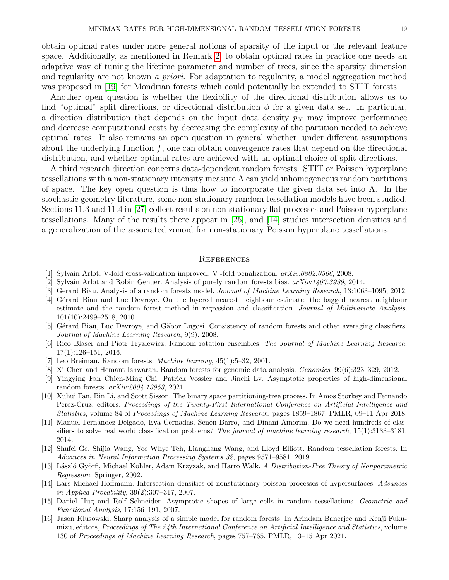obtain optimal rates under more general notions of sparsity of the input or the relevant feature space. Additionally, as mentioned in Remark [2,](#page-11-2) to obtain optimal rates in practice one needs an adaptive way of tuning the lifetime parameter and number of trees, since the sparsity dimension and regularity are not known a priori. For adaptation to regularity, a model aggregation method

was proposed in [\[19\]](#page-19-0) for Mondrian forests which could potentially be extended to STIT forests. Another open question is whether the flexibility of the directional distribution allows us to find "optimal" split directions, or directional distribution  $\phi$  for a given data set. In particular, a direction distribution that depends on the input data density  $p<sub>X</sub>$  may improve performance and decrease computational costs by decreasing the complexity of the partition needed to achieve optimal rates. It also remains an open question in general whether, under different assumptions about the underlying function  $f$ , one can obtain convergence rates that depend on the directional distribution, and whether optimal rates are achieved with an optimal choice of split directions.

A third research direction concerns data-dependent random forests. STIT or Poisson hyperplane tessellations with a non-stationary intensity measure  $\Lambda$  can yield inhomogeneous random partitions of space. The key open question is thus how to incorporate the given data set into  $\Lambda$ . In the stochastic geometry literature, some non-stationary random tessellation models have been studied. Sections 11.3 and 11.4 in [\[27\]](#page-19-10) collect results on non-stationary flat processes and Poisson hyperplane tessellations. Many of the results there appear in [\[25\]](#page-19-14), and [\[14\]](#page-18-15) studies intersection densities and a generalization of the associated zonoid for non-stationary Poisson hyperplane tessellations.

### **REFERENCES**

- <span id="page-18-14"></span>[1] Sylvain Arlot. V-fold cross-validation improved: V -fold penalization. arXiv:0802.0566, 2008.
- <span id="page-18-5"></span>[2] Sylvain Arlot and Robin Genuer. Analysis of purely random forests bias. arXiv:1407.3939, 2014.
- <span id="page-18-9"></span>[3] Gerard Biau. Analysis of a random forests model. Journal of Machine Learning Research, 13:1063–1095, 2012.
- <span id="page-18-3"></span>[4] Gérard Biau and Luc Devroye. On the layered nearest neighbour estimate, the bagged nearest neighbour estimate and the random forest method in regression and classification. Journal of Multivariate Analysis, 101(10):2499–2518, 2010.
- <span id="page-18-4"></span>[5] Gérard Biau, Luc Devroye, and Gäbor Lugosi. Consistency of random forests and other averaging classifiers. Journal of Machine Learning Research, 9(9), 2008.
- <span id="page-18-6"></span>[6] Rico Blaser and Piotr Fryzlewicz. Random rotation ensembles. The Journal of Machine Learning Research, 17(1):126–151, 2016.
- <span id="page-18-0"></span>[7] Leo Breiman. Random forests. Machine learning, 45(1):5–32, 2001.
- <span id="page-18-2"></span>[8] Xi Chen and Hemant Ishwaran. Random forests for genomic data analysis. Genomics, 99(6):323–329, 2012.
- <span id="page-18-11"></span>[9] Yingying Fan Chien-Ming Chi, Patrick Vossler and Jinchi Lv. Asymptotic properties of high-dimensional random forests. arXiv:2004.13953, 2021.
- <span id="page-18-7"></span>[10] Xuhui Fan, Bin Li, and Scott Sisson. The binary space partitioning-tree process. In Amos Storkey and Fernando Perez-Cruz, editors, Proceedings of the Twenty-First International Conference on Artificial Intelligence and Statistics, volume 84 of Proceedings of Machine Learning Research, pages 1859–1867. PMLR, 09–11 Apr 2018.
- <span id="page-18-1"></span>[11] Manuel Fernández-Delgado, Eva Cernadas, Senén Barro, and Dinani Amorim. Do we need hundreds of classifiers to solve real world classification problems? The journal of machine learning research, 15(1):3133–3181, 2014.
- <span id="page-18-8"></span>[12] Shufei Ge, Shijia Wang, Yee Whye Teh, Liangliang Wang, and Lloyd Elliott. Random tessellation forests. In Advances in Neural Information Processing Systems 32, pages 9571–9581. 2019.
- <span id="page-18-13"></span>[13] László Györfi, Michael Kohler, Adam Krzyzak, and Harro Walk. A Distribution-Free Theory of Nonparametric Regression. Springer, 2002.
- <span id="page-18-15"></span>[14] Lars Michael Hoffmann. Intersection densities of nonstationary poisson processes of hypersurfaces. Advances in Applied Probability, 39(2):307–317, 2007.
- <span id="page-18-12"></span>[15] Daniel Hug and Rolf Schneider. Asymptotic shapes of large cells in random tessellations. Geometric and Functional Analysis, 17:156–191, 2007.
- <span id="page-18-10"></span>[16] Jason Klusowski. Sharp analysis of a simple model for random forests. In Arindam Banerjee and Kenji Fukumizu, editors, Proceedings of The 24th International Conference on Artificial Intelligence and Statistics, volume 130 of Proceedings of Machine Learning Research, pages 757–765. PMLR, 13–15 Apr 2021.